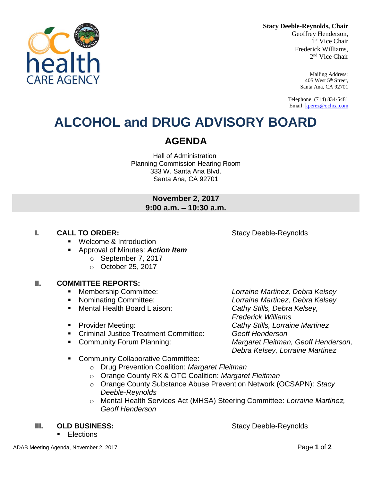

Geoffrey Henderson, 1 st Vice Chair Frederick Williams, 2 nd Vice Chair

> Mailing Address: 405 West 5th Street, Santa Ana, CA 92701

Telephone: (714) 834-5481 Email[: kperez@ochca.com](mailto:kperez@ochca.com)

## **ALCOHOL and DRUG ADVISORY BOARD**

### **AGENDA**

Hall of Administration Planning Commission Hearing Room 333 W. Santa Ana Blvd. Santa Ana, CA 92701

### **November 2, 2017 9:00 a.m. – 10:30 a.m.**

### **I. CALL TO ORDER:** Stacy Deeble-Reynolds

- **Welcome & Introduction**
- Approval of Minutes: *Action Item*
	- o September 7, 2017
	- o October 25, 2017

### **II. COMMITTEE REPORTS:**

- 
- 
- Mental Health Board Liaison: *Cathy Stills, Debra Kelsey,*
- 
- Criminal Justice Treatment Committee: *Geoff Henderson*
- 
- **EXECOMMUNITY Collaborative Committee:** 
	- o Drug Prevention Coalition: *Margaret Fleitman*
	- o Orange County RX & OTC Coalition: *Margaret Fleitman*
	- o Orange County Substance Abuse Prevention Network (OCSAPN): *Stacy Deeble-Reynolds*
	- o Mental Health Services Act (MHSA) Steering Committee: *Lorraine Martinez, Geoff Henderson*

### **III. OLD BUSINESS:** Stacy Deeble-Reynolds

**Elections** 

 Membership Committee: *Lorraine Martinez, Debra Kelsey* Nominating Committee: *Lorraine Martinez, Debra Kelsey Frederick Williams* Provider Meeting: *Cathy Stills, Lorraine Martinez* Community Forum Planning: *Margaret Fleitman, Geoff Henderson, Debra Kelsey, Lorraine Martinez*